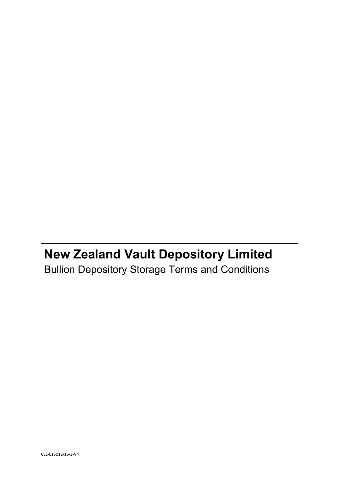# **New Zealand Vault Depository Limited** Bullion Depository Storage Terms and Conditions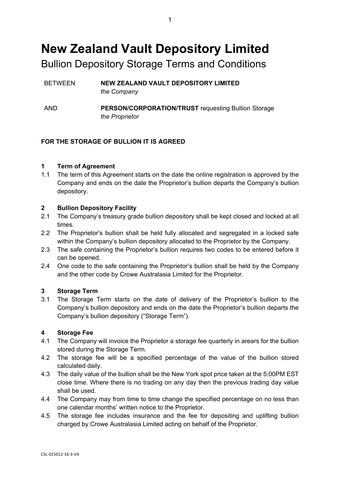# **New Zealand Vault Depository Limited**

Bullion Depository Storage Terms and Conditions

- BETWEEN **NEW ZEALAND VAULT DEPOSITORY LIMITED** *the Company*
- AND **PERSON/CORPORATION/TRUST** requesting Bullion Storage *the Proprietor*

# **FOR THE STORAGE OF BULLION IT IS AGREED**

# **1 Term of Agreement**

1.1 The term of this Agreement starts on the date the online registration is approved by the Company and ends on the date the Proprietor's bullion departs the Company's bullion depository.

# **2 Bullion Depository Facility**

- 2.1 The Company's treasury grade bullion depository shall be kept closed and locked at all times.
- 2.2 The Proprietor's bullion shall be held fully allocated and segregated in a locked safe within the Company's bullion depository allocated to the Proprietor by the Company.
- 2.3 The safe containing the Proprietor's bullion requires two codes to be entered before it can be opened.
- 2.4 One code to the safe containing the Proprietor's bullion shall be held by the Company and the other code by Crowe Australasia Limited for the Proprietor.

# **3 Storage Term**

3.1 The Storage Term starts on the date of delivery of the Proprietor's bullion to the Company's bullion depository and ends on the date the Proprietor's bullion departs the Company's bullion depository ("Storage Term").

#### **4 Storage Fee**

- 4.1 The Company will invoice the Proprietor a storage fee quarterly in arears for the bullion stored during the Storage Term.
- 4.2 The storage fee will be a specified percentage of the value of the bullion stored calculated daily.
- 4.3 The daily value of the bullion shall be the New York spot price taken at the 5:00PM EST close time. Where there is no trading on any day then the previous trading day value shall be used.
- 4.4 The Company may from time to time change the specified percentage on no less than one calendar months' written notice to the Proprietor.
- 4.5 The storage fee includes insurance and the fee for depositing and uplifting bullion charged by Crowe Australasia Limited acting on behalf of the Proprietor.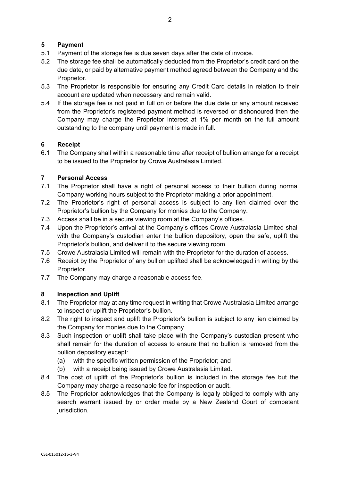# **5 Payment**

- 5.1 Payment of the storage fee is due seven days after the date of invoice.
- 5.2 The storage fee shall be automatically deducted from the Proprietor's credit card on the due date, or paid by alternative payment method agreed between the Company and the Proprietor.
- 5.3 The Proprietor is responsible for ensuring any Credit Card details in relation to their account are updated when necessary and remain valid.
- 5.4 If the storage fee is not paid in full on or before the due date or any amount received from the Proprietor's registered payment method is reversed or dishonoured then the Company may charge the Proprietor interest at 1% per month on the full amount outstanding to the company until payment is made in full.

# **6 Receipt**

6.1 The Company shall within a reasonable time after receipt of bullion arrange for a receipt to be issued to the Proprietor by Crowe Australasia Limited.

# **7 Personal Access**

- 7.1 The Proprietor shall have a right of personal access to their bullion during normal Company working hours subject to the Proprietor making a prior appointment.
- 7.2 The Proprietor's right of personal access is subject to any lien claimed over the Proprietor's bullion by the Company for monies due to the Company.
- 7.3 Access shall be in a secure viewing room at the Company's offices.
- 7.4 Upon the Proprietor's arrival at the Company's offices Crowe Australasia Limited shall with the Company's custodian enter the bullion depository, open the safe, uplift the Proprietor's bullion, and deliver it to the secure viewing room.
- 7.5 Crowe Australasia Limited will remain with the Proprietor for the duration of access.
- 7.6 Receipt by the Proprietor of any bullion uplifted shall be acknowledged in writing by the Proprietor.
- 7.7 The Company may charge a reasonable access fee.

# **8 Inspection and Uplift**

- 8.1 The Proprietor may at any time request in writing that Crowe Australasia Limited arrange to inspect or uplift the Proprietor's bullion.
- 8.2 The right to inspect and uplift the Proprietor's bullion is subject to any lien claimed by the Company for monies due to the Company.
- 8.3 Such inspection or uplift shall take place with the Company's custodian present who shall remain for the duration of access to ensure that no bullion is removed from the bullion depository except:
	- (a) with the specific written permission of the Proprietor; and
	- (b) with a receipt being issued by Crowe Australasia Limited.
- 8.4 The cost of uplift of the Proprietor's bullion is included in the storage fee but the Company may charge a reasonable fee for inspection or audit.
- 8.5 The Proprietor acknowledges that the Company is legally obliged to comply with any search warrant issued by or order made by a New Zealand Court of competent jurisdiction.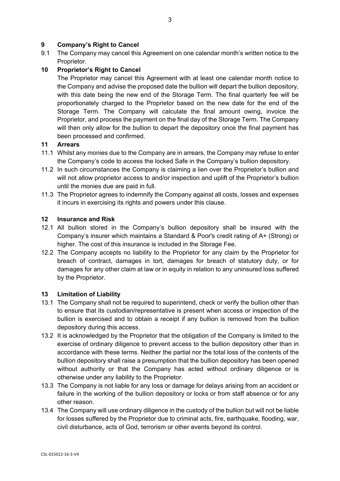# **9 Company's Right to Cancel**

9.1 The Company may cancel this Agreement on one calendar month's written notice to the Proprietor.

# **10 Proprietor's Right to Cancel**

The Proprietor may cancel this Agreement with at least one calendar month notice to the Company and advise the proposed date the bullion will depart the bullion depository, with this date being the new end of the Storage Term. The final quarterly fee will be proportionately charged to the Proprietor based on the new date for the end of the Storage Term. The Company will calculate the final amount owing, invoice the Proprietor, and process the payment on the final day of the Storage Term. The Company will then only allow for the bullion to depart the depository once the final payment has been processed and confirmed.

# **11 Arrears**

- 11.1 Whilst any monies due to the Company are in arrears, the Company may refuse to enter the Company's code to access the locked Safe in the Company's bullion depository.
- 11.2 In such circumstances the Company is claiming a lien over the Proprietor's bullion and will not allow proprietor access to and/or inspection and uplift of the Proprietor's bullion until the monies due are paid in full.
- 11.3 The Proprietor agrees to indemnify the Company against all costs, losses and expenses it incurs in exercising its rights and powers under this clause.

# **12 Insurance and Risk**

- 12.1 All bullion stored in the Company's bullion depository shall be insured with the Company's insurer which maintains a Standard & Poor's credit rating of A+ (Strong) or higher. The cost of this insurance is included in the Storage Fee.
- 12.2 The Company accepts no liability to the Proprietor for any claim by the Proprietor for breach of contract, damages in tort, damages for breach of statutory duty, or for damages for any other claim at law or in equity in relation to any uninsured loss suffered by the Proprietor.

# **13 Limitation of Liability**

- 13.1 The Company shall not be required to superintend, check or verify the bullion other than to ensure that its custodian/representative is present when access or inspection of the bullion is exercised and to obtain a receipt if any bullion is removed from the bullion depository during this access.
- 13.2 It is acknowledged by the Proprietor that the obligation of the Company is limited to the exercise of ordinary diligence to prevent access to the bullion depository other than in accordance with these terms. Neither the partial nor the total loss of the contents of the bullion depository shall raise a presumption that the bullion depository has been opened without authority or that the Company has acted without ordinary diligence or is otherwise under any liability to the Proprietor.
- 13.3 The Company is not liable for any loss or damage for delays arising from an accident or failure in the working of the bullion depository or locks or from staff absence or for any other reason.
- 13.4 The Company will use ordinary diligence in the custody of the bullion but will not be liable for losses suffered by the Proprietor due to criminal acts, fire, earthquake, flooding, war, civil disturbance, acts of God, terrorism or other events beyond its control.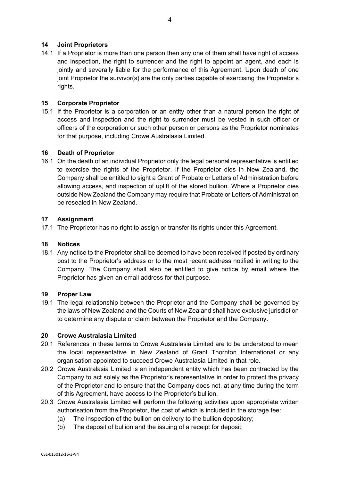# **14 Joint Proprietors**

14.1 If a Proprietor is more than one person then any one of them shall have right of access and inspection, the right to surrender and the right to appoint an agent, and each is jointly and severally liable for the performance of this Agreement. Upon death of one joint Proprietor the survivor(s) are the only parties capable of exercising the Proprietor's rights.

# **15 Corporate Proprietor**

15.1 If the Proprietor is a corporation or an entity other than a natural person the right of access and inspection and the right to surrender must be vested in such officer or officers of the corporation or such other person or persons as the Proprietor nominates for that purpose, including Crowe Australasia Limited.

#### **16 Death of Proprietor**

16.1 On the death of an individual Proprietor only the legal personal representative is entitled to exercise the rights of the Proprietor. If the Proprietor dies in New Zealand, the Company shall be entitled to sight a Grant of Probate or Letters of Administration before allowing access, and inspection of uplift of the stored bullion. Where a Proprietor dies outside New Zealand the Company may require that Probate or Letters of Administration be resealed in New Zealand.

### **17 Assignment**

17.1 The Proprietor has no right to assign or transfer its rights under this Agreement.

#### **18 Notices**

18.1 Any notice to the Proprietor shall be deemed to have been received if posted by ordinary post to the Proprietor's address or to the most recent address notified in writing to the Company. The Company shall also be entitled to give notice by email where the Proprietor has given an email address for that purpose.

#### **19 Proper Law**

19.1 The legal relationship between the Proprietor and the Company shall be governed by the laws of New Zealand and the Courts of New Zealand shall have exclusive jurisdiction to determine any dispute or claim between the Proprietor and the Company.

#### **20 Crowe Australasia Limited**

- 20.1 References in these terms to Crowe Australasia Limited are to be understood to mean the local representative in New Zealand of Grant Thornton International or any organisation appointed to succeed Crowe Australasia Limited in that role.
- 20.2 Crowe Australasia Limited is an independent entity which has been contracted by the Company to act solely as the Proprietor's representative in order to protect the privacy of the Proprietor and to ensure that the Company does not, at any time during the term of this Agreement, have access to the Proprietor's bullion.
- 20.3 Crowe Australasia Limited will perform the following activities upon appropriate written authorisation from the Proprietor, the cost of which is included in the storage fee:
	- (a) The inspection of the bullion on delivery to the bullion depository;
	- (b) The deposit of bullion and the issuing of a receipt for deposit;